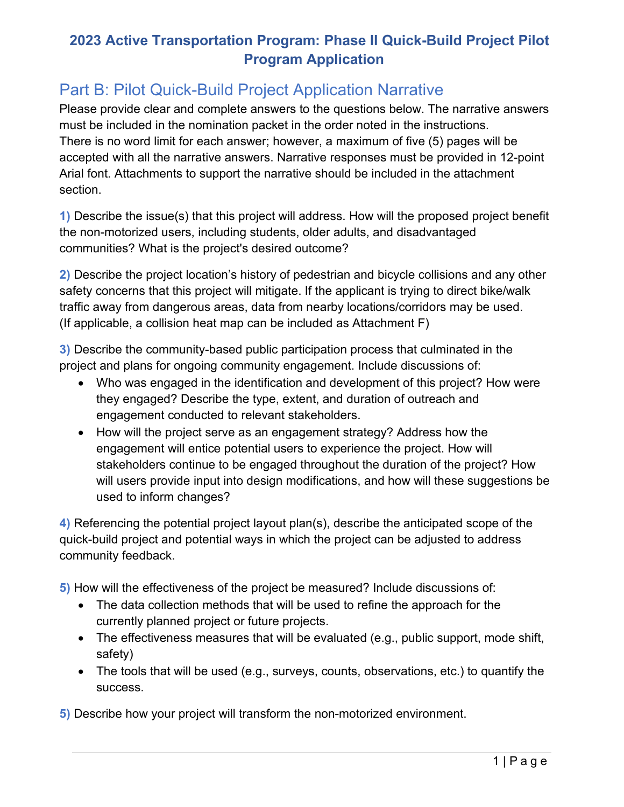## **2023 Active Transportation Program: Phase II Quick-Build Project Pilot Program Application**

## Part B: Pilot Quick-Build Project Application Narrative

must be included in the nomination packet in the order noted in the instructions. Please provide clear and complete answers to the questions below. The narrative answers There is no word limit for each answer; however, a maximum of five (5) pages will be accepted with all the narrative answers. Narrative responses must be provided in 12-point Arial font. Attachments to support the narrative should be included in the attachment section.

 **1)** Describe the issue(s) that this project will address. How will the proposed project benefit the non-motorized users, including students, older adults, and disadvantaged communities? What is the project's desired outcome?

 **2)** Describe the project location's history of pedestrian and bicycle collisions and any other safety concerns that this project will mitigate. If the applicant is trying to direct bike/walk traffic away from dangerous areas, data from nearby locations/corridors may be used. (If applicable, a collision heat map can be included as Attachment F)

 project and plans for ongoing community engagement. Include discussions of: **3)** Describe the community-based public participation process that culminated in the

- Who was engaged in the identification and development of this project? How were they engaged? Describe the type, extent, and duration of outreach and engagement conducted to relevant stakeholders.
- will users provide input into design modifications, and how will these suggestions be • How will the project serve as an engagement strategy? Address how the engagement will entice potential users to experience the project. How will stakeholders continue to be engaged throughout the duration of the project? How used to inform changes?

**4)** Referencing the potential project layout plan(s), describe the anticipated scope of the quick-build project and potential ways in which the project can be adjusted to address community feedback.

**5)** How will the effectiveness of the project be measured? Include discussions of:

- The data collection methods that will be used to refine the approach for the currently planned project or future projects.
- The effectiveness measures that will be evaluated (e.g., public support, mode shift, safety)
- The tools that will be used (e.g., surveys, counts, observations, etc.) to quantify the success.

**5)** Describe how your project will transform the non-motorized environment.